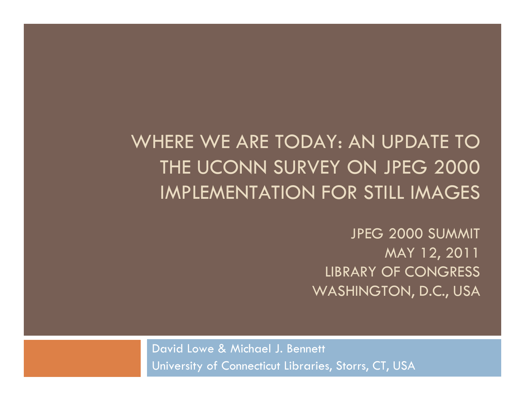WHERE WE ARE TODAY: AN UPDATE TO THE UCONN SURVEY ON JPEG 2000 IMPLEMENTATION FOR STILL IMAGES

> JPEG 2000 SUMMIT MAY 12, 2011 LIBRARY OF CONGRESS WASHINGTON, D.C., USA

David Lowe & Michael J. Bennett University of Connecticut Libraries, Storrs, CT, USA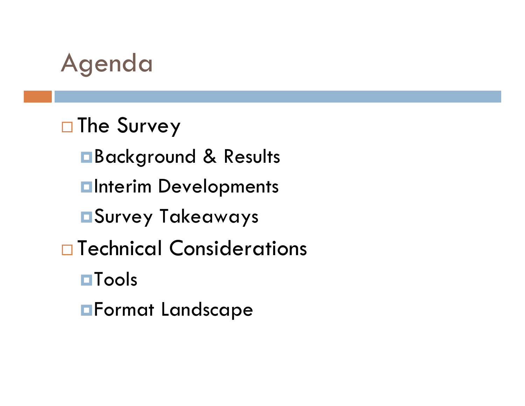

#### □ The Survey

Background & Results **<u>Elnterim</u>** Developments Survey Takeaways □ Technical Considerations **O**Tools Format Landscape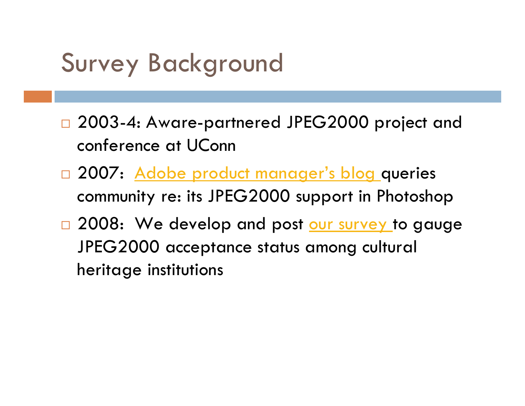### Survey Background

- □ 2003-4: Aware-partnered JPEG2000 project and conference at UConn
- □ 2007: <u>[Adobe product manager's blog](http://blogs.adobe.com/jnack/2007/04/jpeg_2000_do_you_use_it.html) </u>queries community re: its JPEG2000 support in Photoshop
- □ 2008: We develop and post <u>our survey</u> to gauge JPEG2000 acceptance status among cultural heritage institutions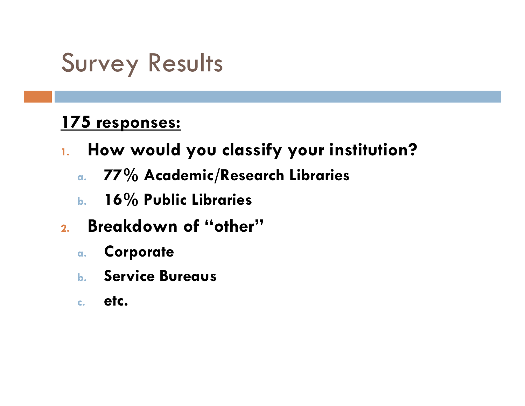#### **175 responses:**

- **1. How would you classify your institution?**
	- **a. 77% Academic/Research Libraries**
	- **b. 16% Public Libraries**
- **2. Breakdown of "other"**
	- **a.Corporate**
	- **b. Service Bureaus**
	- **c.etc.**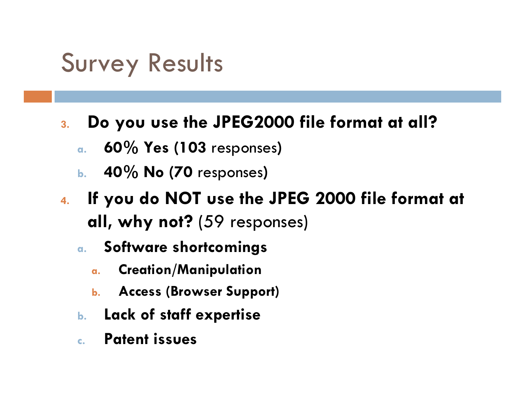- **3. Do you use the JPEG2000 file format at all?**
	- **a.60% Yes (103** responses **)**
	- **b. 40% No (70** responses **)**
- **4. If you do NOT use the JPEG 2000 file format at all, why not?** (59 responses)
	- **a. Software shortcomings**
		- **a.Creation/Manipulation**
		- **b.Access (Browser Support)**
	- **b.Lack of staff expertise**
	- **c. Patent issues**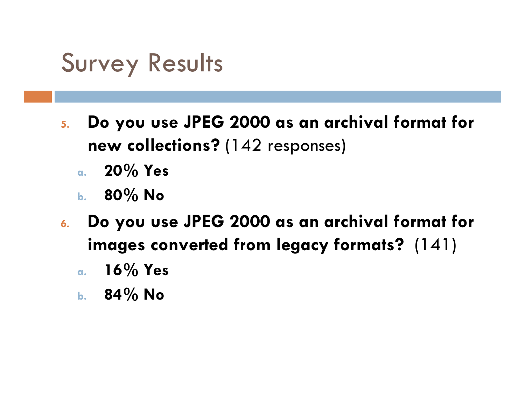- **5. Do you use JPEG 2000 as an archival format for new collections?** (142 responses)
	- **a. 20% Yes**
	- **b. 80% No**
- **6. Do you use JPEG 2000 as an archival format for images converted from legacy formats?** (141)
	- **a. 16% Yes**
	- **b. 84% No**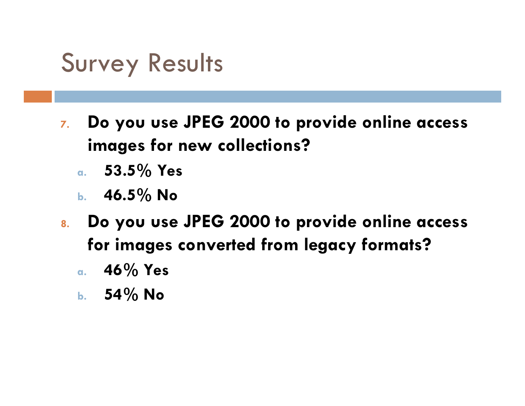- **7. Do you use JPEG 2000 to provide online access images for new collections?**
	- **a. 53.5% Yes**
	- **b. 46.5% No**
- **8. Do you use JPEG 2000 to provide online access for images converted from legacy formats?**
	- **a. 46% Yes**
	- **b. 54% No**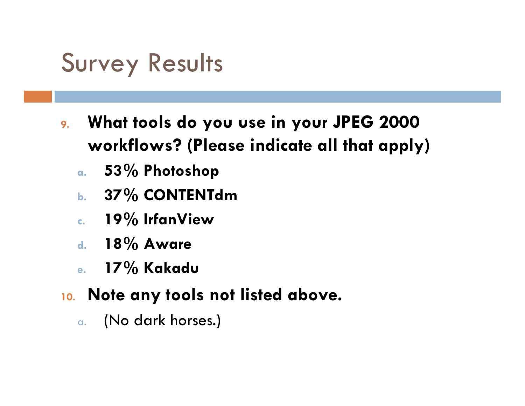- **9. What tools do you use in your JPEG 2000 workflows? (Please indicate all that apply)**
	- **a. 53% Photoshop**
	- **b. 37% CONTENTdm**
	- **c. 19% IrfanView**
	- **d. 18% Aware**
	- **e. 17% Kakadu**
- **10. Note any tools not listed above.**
	- a.(No dark horses.)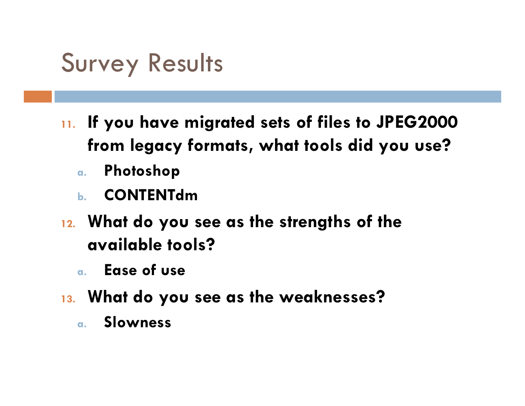- **11. If you have migrated sets of files to JPEG2000 from legacy formats, what tools did you use?**
	- **a.Photoshop**
	- **b. CONTENTdm**
- **12. What do you see as the strengths of the available tools?**
	- **a. Ease of use**
- **13. What do you see as the weaknesses?**
	- **a.Slowness**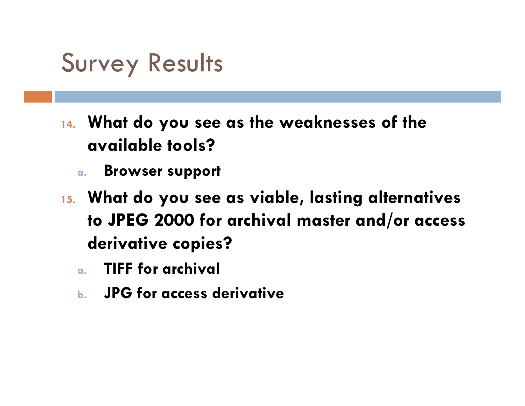- **14. What do you see as the weaknesses of the available tools?**
	- **a.Browser support**
- **15. What do you see as viable, lasting alternatives to JPEG 2000 for archival master and/or access derivative copies?**
	- **a.TIFF for archival**
	- **b. JPG for access derivative**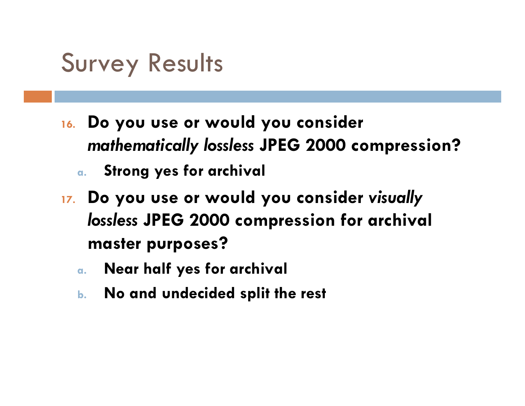- **16. Do you use or would you consider**  *mathematically lossless* **JPEG 2000 compression?** 
	- **a. Strong yes for archival**
- **17. Do you use or would you consider** *visually lossless* **JPEG 2000 compression for archival master purposes?**
	- **a.Near half yes for archival**
	- **b.No and undecided split the rest**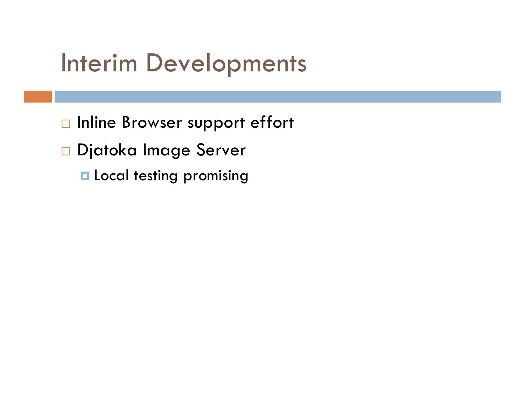#### Interim Developments

- $\Box$  Inline Browser support effort
- □ Djatoka Image Server
	- **Local testing promising**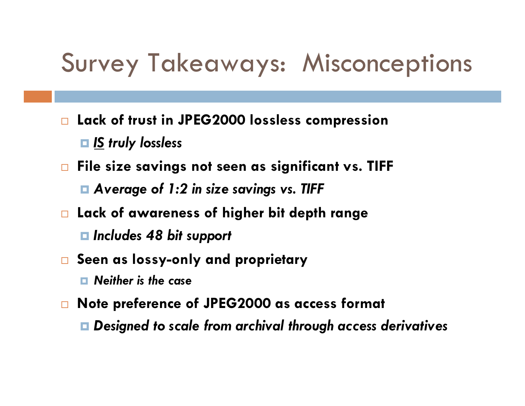#### Survey Takeaways: Misconceptions

- $\Box$  **Lack of trust in JPEG2000 lossless compression** *IS truly lossless*
- $\Box$  **File size savings not seen as significant vs. TIFF**
	- *Average of 1:2 in size savings vs. TIFF*
- **Lack of awareness of higher bit depth range**
	- *Includes 48 bit support*
- $\Box$  **Seen as lossy-only and proprietary**
	- *Neither is the case*
- $\Box$  **Note preference of JPEG2000 as access format**
	- *Designed to scale from archival through access derivatives*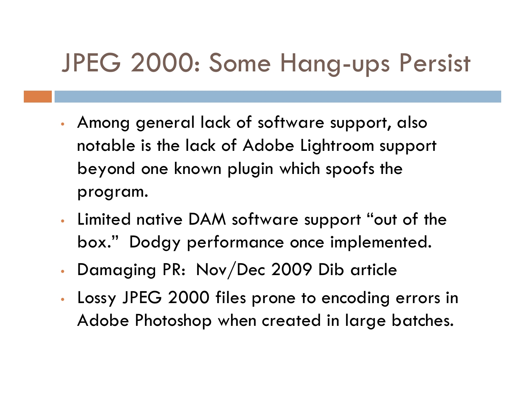### JPEG 2000: Some Hang-ups Persist

- Among general lack of software support, also notable is the lack of Adobe Lightroom support beyond one known plugin which spoofs the program.
- Limited native DAM software support "out of the box." Dodgy performance once implemented.
- Damaging PR: Nov/Dec 2009 Dib article
- Lossy JPEG 2000 files prone to encoding errors in Adobe Photoshop when created in large batches.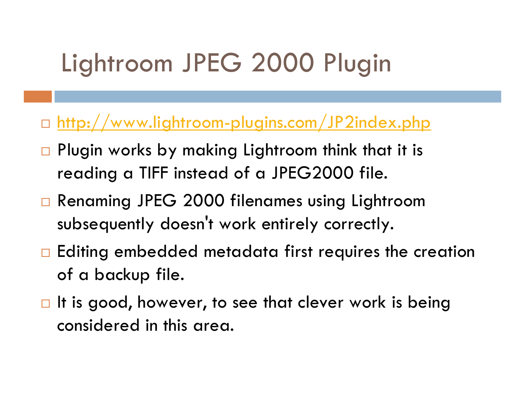## Lightroom JPEG 2000 Plugin

#### □ <u><http://www.lightroom-plugins.com/JP2index.php></u>

- $\Box$  Plugin works by making Lightroom think that it is reading a TIFF instead of a JPEG2000 file.
- □ Renaming JPEG 2000 filenames using Lightroom subsequently doesn't work entirely correctly.
- $\Box$  Editing embedded metadata first requires the creation of a backup file.
- $\blacksquare$  It is good, however, to see that clever work is being considered in this area.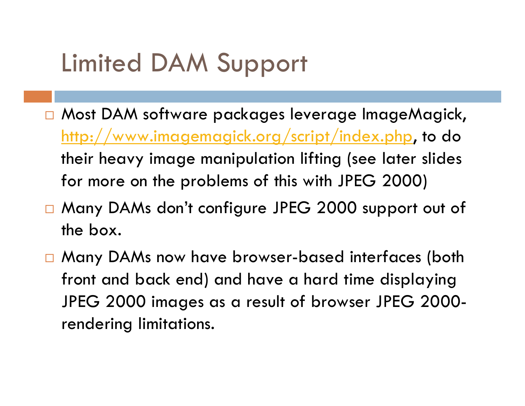### Limited DAM Support

- □ Most DAM software packages leverage ImageMagick, <http://www.imagemagick.org/script/index.php>, to do their heavy image manipulation lifting (see later slides for more on the problems of this with JPEG 2000)
- □ Many DAMs don't configure JPEG 2000 support out of the box.
- □ Many DAMs now have browser-based interfaces (both front and back end) and have a hard time displaying JPEG 2000 images as a result of browser JPEG 2000 rendering limitations.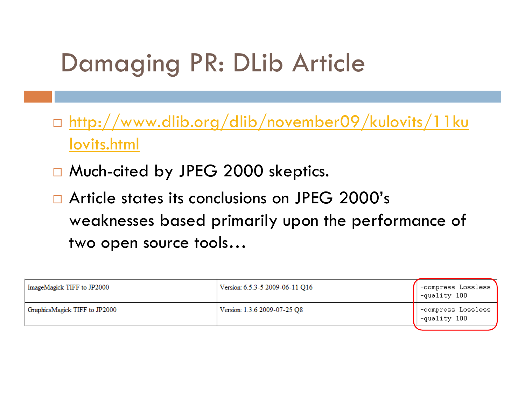- □ <u>[http://www.dlib.org/dlib/november09/kulovits/11ku](http://www.dlib.org/dlib/november09/kulovits/11kulovits.html)</u> [lovits.html](http://www.dlib.org/dlib/november09/kulovits/11kulovits.html)
- □ Much-cited by JPEG 2000 skeptics.
- $\Box$  Article states its conclusions on JPEG 2000's weaknesses based primarily upon the performance of two open source tools…

| ImageMagick TIFF to JP2000    | Version: 6.5.3-5 2009-06-11 Q16 | -compress Lossless<br>   -quality 100 |
|-------------------------------|---------------------------------|---------------------------------------|
| GraphicsMagick TIFF to JP2000 | Version: 1.3.6 2009-07-25 Q8    | compress Lossless<br> -quality 100    |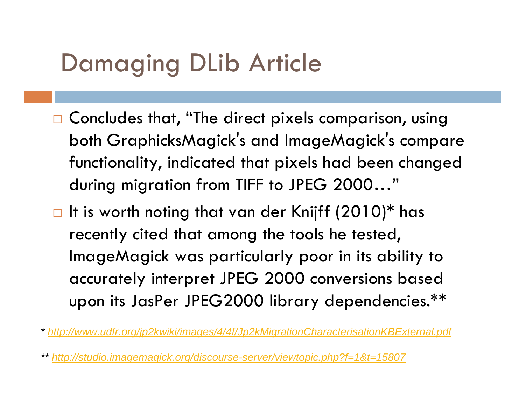- $\Box$  Concludes that, "The direct pixels comparison, using both GraphicksMagick's and ImageMagick's compare functionality, indicated that pixels had been changed during migration from TIFF to JPEG 2000…"
- $\Box$  It is worth noting that van der Knijff (2010)\* has recently cited that among the tools he tested, ImageMagick was particularly poor in its ability to accurately interpret JPEG 2000 conversions based upon its JasPer JPEG2000 library dependencies.\*\*

*\* <http://www.udfr.org/jp2kwiki/images/4/4f/Jp2kMigrationCharacterisationKBExternal.pdf>*

*\*\*<http://studio.imagemagick.org/discourse-server/viewtopic.php?f=1&t=15807>*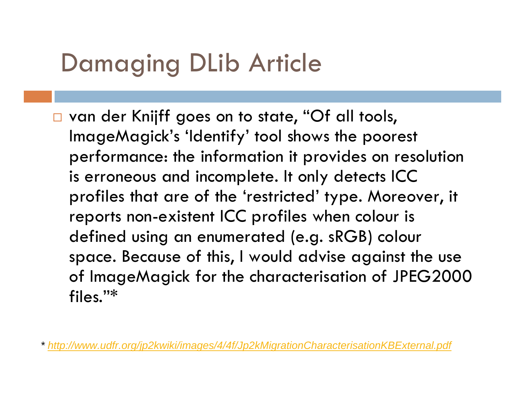□ van der Knijff goes on to state, "Of all tools, ImageMagick's 'Identify' tool shows the poorest performance: the information it provides on resolution is erroneous and incomplete. It only detects ICC profiles that are of the 'restricted' type. Moreover, it reports non-existent ICC profiles when colour is defined using an enumerated (e.g. sRGB) colour space. Because of this, I would advise against the use of ImageMagick for the characterisation of JPEG2000 files."\*

*\* <http://www.udfr.org/jp2kwiki/images/4/4f/Jp2kMigrationCharacterisationKBExternal.pdf>*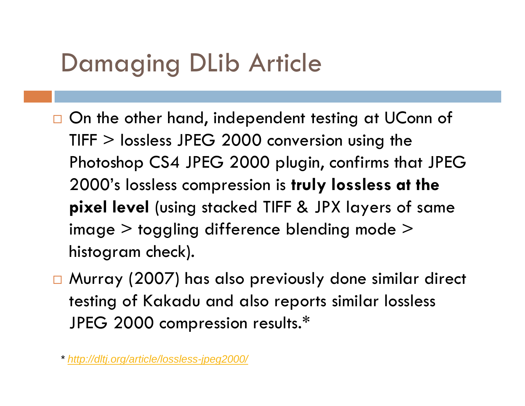- $\Box$  On the other hand, independent testing at UConn of TIFF > lossless JPEG 2000 conversion using the Photoshop CS4 JPEG 2000 plugin, confirms that JPEG 2000's lossless compression is **truly lossless at the pixel level** (using stacked TIFF & JPX layers of same image > toggling difference blending mode > histogram check).
- □ Murray (2007) has also previously done similar direct testing of Kakadu and also reports similar lossless JPEG 2000 compression results.\*

*<sup>\*</sup> <http://dltj.org/article/lossless-jpeg2000/>*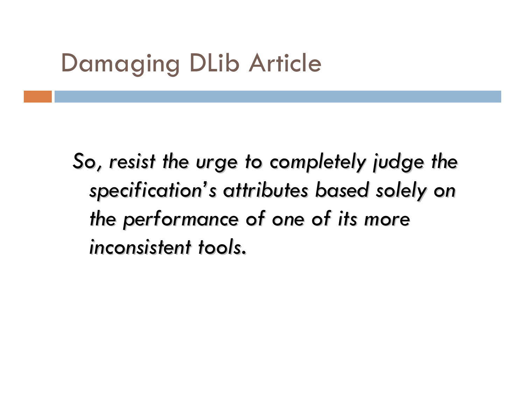*So, resist the urge to completely judge the specification specification 's attributes based solely on s attributes based solely on the performance of one of its more the performance of one of its more inconsistent tools. inconsistent tools.*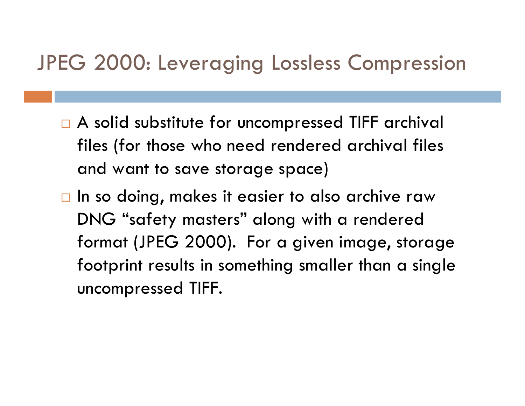#### JPEG 2000: Leveraging Lossless Compression

- $\Box$  A solid substitute for uncompressed TIFF archival files (for those who need rendered archival files and want to save storage space)
- $\Box$  In so doing, makes it easier to also archive raw DNG "safety masters" along with a rendered format (JPEG 2000). For a given image, storage footprint results in something smaller than a single uncompressed TIFF.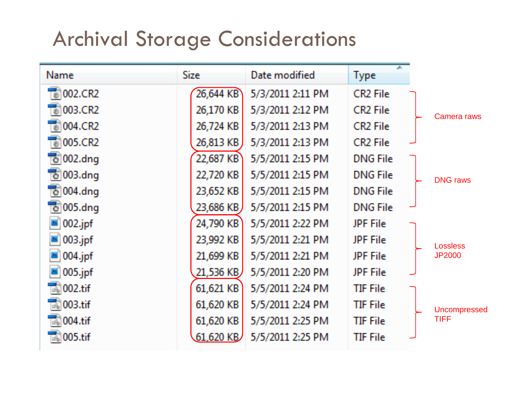#### Archival Storage Considerations

| Name                            | <b>Size</b> | Date modified    | <b>Type</b>          |                 |
|---------------------------------|-------------|------------------|----------------------|-----------------|
| $\frac{1}{10}$ 002.CR2          | 26,644 KB   | 5/3/2011 2:11 PM | CR2 File             |                 |
| 003.CR2<br>$\overline{\bullet}$ | 26,170 KB   | 5/3/2011 2:12 PM | CR <sub>2</sub> File | Camera raws     |
| $\overrightarrow{6}$ 004.CR2    | 26,724 KB   | 5/3/2011 2:13 PM | CR2 File             |                 |
| $\frac{1}{100}$ 005.CR2         | 26,813 KB   | 5/3/2011 2:13 PM | CR2 File             |                 |
| To 002.dng                      | 22,687 KB   | 5/5/2011 2:15 PM | <b>DNG File</b>      |                 |
| $\vec{c}$ 003.dng               | 22,720 KB   | 5/5/2011 2:15 PM | <b>DNG File</b>      | <b>DNG</b> raws |
| $\overline{6}$ 004.dng          | 23,652 KB   | 5/5/2011 2:15 PM | <b>DNG File</b>      |                 |
| $\vec{e}$ 005.dng               | 23,686 KB   | 5/5/2011 2:15 PM | <b>DNG File</b>      |                 |
| 002.jpf                         | 24,790 KB   | 5/5/2011 2:22 PM | <b>JPF</b> File      |                 |
| $003$ .jpf                      | 23,992 KB   | 5/5/2011 2:21 PM | JPF File             | <b>Lossless</b> |
| $004$ .jpf                      | 21,699 KB   | 5/5/2011 2:21 PM | <b>JPF File</b>      | <b>JP2000</b>   |
| $005$ .jpf                      | 21,536 KB   | 5/5/2011 2:20 PM | <b>JPF</b> File      |                 |
| 002.tif<br><b>Info</b>          | 61,621 KB   | 5/5/2011 2:24 PM | TIF File             |                 |
| 003.tif                         | 61,620 KB   | 5/5/2011 2:24 PM | TIF File             | Uncompressed    |
| $004$ .tif                      | 61,620 KB   | 5/5/2011 2:25 PM | TIF File             | <b>TIFF</b>     |
| $\overline{160}$ 005.tif        | $61,620$ KB | 5/5/2011 2:25 PM | TIF File             |                 |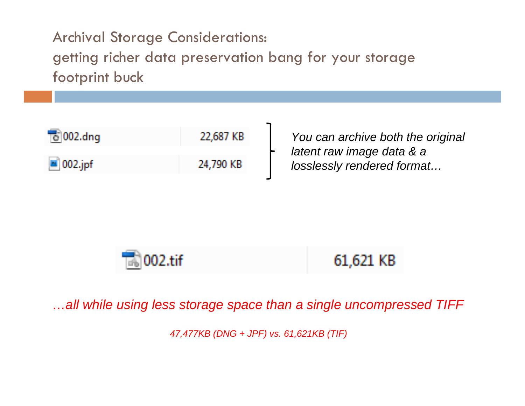Archival Storage Considerations: getting richer data preservation bang for your storage footprint buck

| $\vec{c}$ 002.dng      | 22,687 KB |
|------------------------|-----------|
| $\blacksquare$ 002.jpf | 24,790 KB |

*You can archive both the original latent raw image data & a losslessly rendered format…*



*…all while using less storage space than a single uncompressed TIFF*

*47,477KB (DNG + JPF) vs. 61,621KB (TIF)*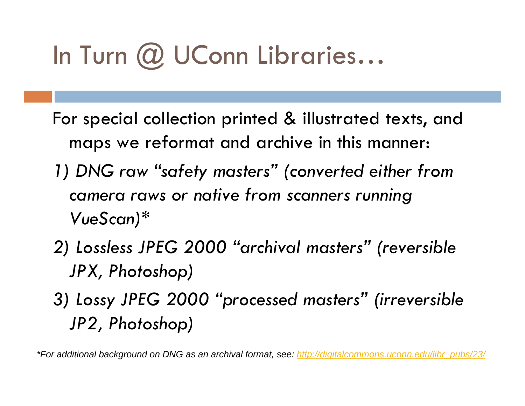# In Turn @ UConn Libraries...

- For special collection printed & illustrated texts, and maps we reformat and archive in this manner:
- *1) DNG raw "safety masters" (converted either from camera raws or native from scanners running VueScan)\**
- *2) Lossless JPEG 2000 "archival masters" (reversible JPX, Photoshop)*
- *3) Lossy JPEG 2000 "processed masters" (irreversible JP2, Photoshop)*

*\*For additional background on DNG as an archival format, see: [http://digitalcommons.uconn.edu/libr\\_pubs/23/](http://digitalcommons.uconn.edu/libr_pubs/23/)*